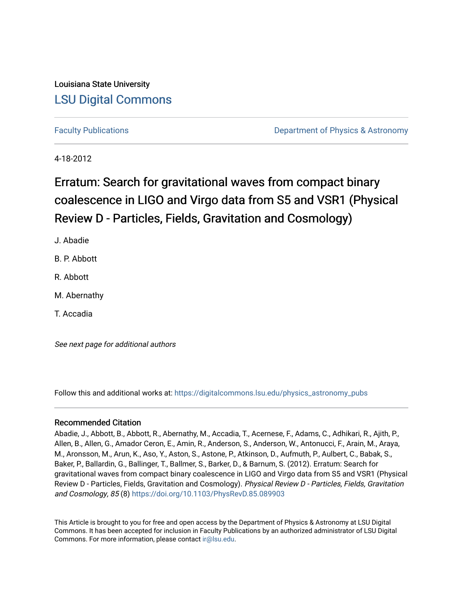## Louisiana State University [LSU Digital Commons](https://digitalcommons.lsu.edu/)

[Faculty Publications](https://digitalcommons.lsu.edu/physics_astronomy_pubs) **Example 2** Constant Department of Physics & Astronomy

4-18-2012

# Erratum: Search for gravitational waves from compact binary coalescence in LIGO and Virgo data from S5 and VSR1 (Physical Review D - Particles, Fields, Gravitation and Cosmology)

J. Abadie

B. P. Abbott

R. Abbott

M. Abernathy

T. Accadia

See next page for additional authors

Follow this and additional works at: [https://digitalcommons.lsu.edu/physics\\_astronomy\\_pubs](https://digitalcommons.lsu.edu/physics_astronomy_pubs?utm_source=digitalcommons.lsu.edu%2Fphysics_astronomy_pubs%2F1147&utm_medium=PDF&utm_campaign=PDFCoverPages) 

#### Recommended Citation

Abadie, J., Abbott, B., Abbott, R., Abernathy, M., Accadia, T., Acernese, F., Adams, C., Adhikari, R., Ajith, P., Allen, B., Allen, G., Amador Ceron, E., Amin, R., Anderson, S., Anderson, W., Antonucci, F., Arain, M., Araya, M., Aronsson, M., Arun, K., Aso, Y., Aston, S., Astone, P., Atkinson, D., Aufmuth, P., Aulbert, C., Babak, S., Baker, P., Ballardin, G., Ballinger, T., Ballmer, S., Barker, D., & Barnum, S. (2012). Erratum: Search for gravitational waves from compact binary coalescence in LIGO and Virgo data from S5 and VSR1 (Physical Review D - Particles, Fields, Gravitation and Cosmology). Physical Review D - Particles, Fields, Gravitation and Cosmology, 85 (8) <https://doi.org/10.1103/PhysRevD.85.089903>

This Article is brought to you for free and open access by the Department of Physics & Astronomy at LSU Digital Commons. It has been accepted for inclusion in Faculty Publications by an authorized administrator of LSU Digital Commons. For more information, please contact [ir@lsu.edu](mailto:ir@lsu.edu).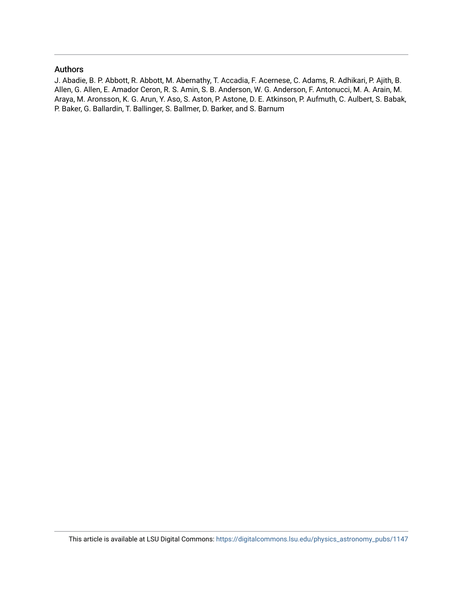#### Authors

J. Abadie, B. P. Abbott, R. Abbott, M. Abernathy, T. Accadia, F. Acernese, C. Adams, R. Adhikari, P. Ajith, B. Allen, G. Allen, E. Amador Ceron, R. S. Amin, S. B. Anderson, W. G. Anderson, F. Antonucci, M. A. Arain, M. Araya, M. Aronsson, K. G. Arun, Y. Aso, S. Aston, P. Astone, D. E. Atkinson, P. Aufmuth, C. Aulbert, S. Babak, P. Baker, G. Ballardin, T. Ballinger, S. Ballmer, D. Barker, and S. Barnum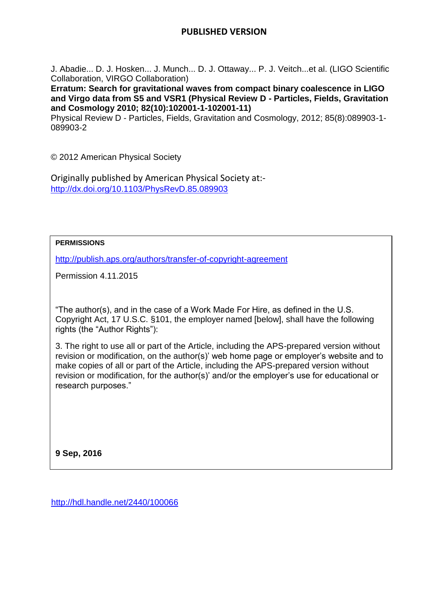## **PUBLISHED VERSION**

J. Abadie... D. J. Hosken... J. Munch... D. J. Ottaway... P. J. Veitch...et al. (LIGO Scientific Collaboration, VIRGO Collaboration)

**Erratum: Search for gravitational waves from compact binary coalescence in LIGO and Virgo data from S5 and VSR1 (Physical Review D - Particles, Fields, Gravitation and Cosmology 2010; 82(10):102001-1-102001-11)**

Physical Review D - Particles, Fields, Gravitation and Cosmology, 2012; 85(8):089903-1- 089903-2

© 2012 American Physical Society

Originally published by American Physical Society at: <http://dx.doi.org/10.1103/PhysRevD.85.089903>

#### **PERMISSIONS**

<http://publish.aps.org/authors/transfer-of-copyright-agreement>

Permission 4.11.2015

"The author(s), and in the case of a Work Made For Hire, as defined in the U.S. Copyright Act, 17 U.S.C. §101, the employer named [below], shall have the following rights (the "Author Rights"):

3. The right to use all or part of the Article, including the APS-prepared version without revision or modification, on the author(s)' web home page or employer's website and to make copies of all or part of the Article, including the APS-prepared version without revision or modification, for the author(s)' and/or the employer's use for educational or research purposes."

**9 Sep, 2016**

[http://hdl.handle.net/2440/100066](http://hdl.handle.net/2440/100062)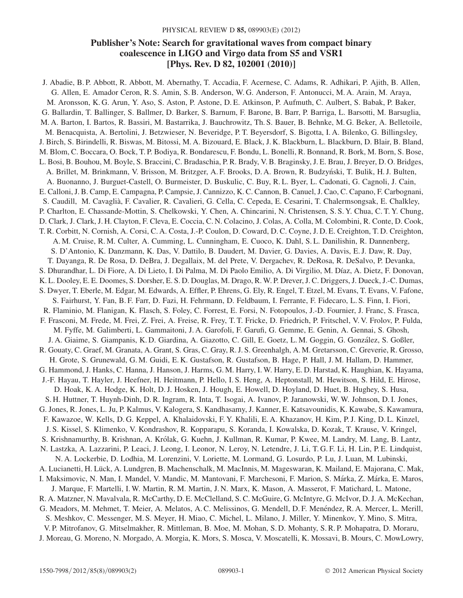### Publisher's Note: Search for gravitational waves from compact binary coalescence in LIGO and Virgo data from S5 and VSR1 [Phys. Rev. D 82, 102001 (2010)]

J. Abadie, B. P. Abbott, R. Abbott, M. Abernathy, T. Accadia, F. Acernese, C. Adams, R. Adhikari, P. Ajith, B. Allen, G. Allen, E. Amador Ceron, R. S. Amin, S. B. Anderson, W. G. Anderson, F. Antonucci, M. A. Arain, M. Araya, M. Aronsson, K. G. Arun, Y. Aso, S. Aston, P. Astone, D. E. Atkinson, P. Aufmuth, C. Aulbert, S. Babak, P. Baker, G. Ballardin, T. Ballinger, S. Ballmer, D. Barker, S. Barnum, F. Barone, B. Barr, P. Barriga, L. Barsotti, M. Barsuglia, M. A. Barton, I. Bartos, R. Bassiri, M. Bastarrika, J. Bauchrowitz, Th. S. Bauer, B. Behnke, M. G. Beker, A. Belletoile, M. Benacquista, A. Bertolini, J. Betzwieser, N. Beveridge, P. T. Beyersdorf, S. Bigotta, I. A. Bilenko, G. Billingsley, J. Birch, S. Birindelli, R. Biswas, M. Bitossi, M. A. Bizouard, E. Black, J. K. Blackburn, L. Blackburn, D. Blair, B. Bland, M. Blom, C. Boccara, O. Bock, T. P. Bodiya, R. Bondarescu, F. Bondu, L. Bonelli, R. Bonnand, R. Bork, M. Born, S. Bose, L. Bosi, B. Bouhou, M. Boyle, S. Braccini, C. Bradaschia, P. R. Brady, V. B. Braginsky, J. E. Brau, J. Breyer, D. O. Bridges, A. Brillet, M. Brinkmann, V. Brisson, M. Britzger, A. F. Brooks, D. A. Brown, R. Budzyński, T. Bulik, H. J. Bulten, A. Buonanno, J. Burguet-Castell, O. Burmeister, D. Buskulic, C. Buy, R. L. Byer, L. Cadonati, G. Cagnoli, J. Cain, E. Calloni, J. B. Camp, E. Campagna, P. Campsie, J. Cannizzo, K. C. Cannon, B. Canuel, J. Cao, C. Capano, F. Carbognani, S. Caudill, M. Cavaglia`, F. Cavalier, R. Cavalieri, G. Cella, C. Cepeda, E. Cesarini, T. Chalermsongsak, E. Chalkley, P. Charlton, E. Chassande-Mottin, S. Chelkowski, Y. Chen, A. Chincarini, N. Christensen, S. S. Y. Chua, C. T. Y. Chung, D. Clark, J. Clark, J. H. Clayton, F. Cleva, E. Coccia, C. N. Colacino, J. Colas, A. Colla, M. Colombini, R. Conte, D. Cook, T. R. Corbitt, N. Cornish, A. Corsi, C. A. Costa, J.-P. Coulon, D. Coward, D. C. Coyne, J. D. E. Creighton, T. D. Creighton, A. M. Cruise, R. M. Culter, A. Cumming, L. Cunningham, E. Cuoco, K. Dahl, S. L. Danilishin, R. Dannenberg, S. D'Antonio, K. Danzmann, K. Das, V. Dattilo, B. Daudert, M. Davier, G. Davies, A. Davis, E. J. Daw, R. Day, T. Dayanga, R. De Rosa, D. DeBra, J. Degallaix, M. del Prete, V. Dergachev, R. DeRosa, R. DeSalvo, P. Devanka, S. Dhurandhar, L. Di Fiore, A. Di Lieto, I. Di Palma, M. Di Paolo Emilio, A. Di Virgilio, M. Díaz, A. Dietz, F. Donovan, K. L. Dooley, E. E. Doomes, S. Dorsher, E. S. D. Douglas, M. Drago, R. W. P. Drever, J. C. Driggers, J. Dueck, J.-C. Dumas, S. Dwyer, T. Eberle, M. Edgar, M. Edwards, A. Effler, P. Ehrens, G. Ely, R. Engel, T. Etzel, M. Evans, T. Evans, V. Fafone, S. Fairhurst, Y. Fan, B. F. Farr, D. Fazi, H. Fehrmann, D. Feldbaum, I. Ferrante, F. Fidecaro, L. S. Finn, I. Fiori, R. Flaminio, M. Flanigan, K. Flasch, S. Foley, C. Forrest, E. Forsi, N. Fotopoulos, J.-D. Fournier, J. Franc, S. Frasca, F. Frasconi, M. Frede, M. Frei, Z. Frei, A. Freise, R. Frey, T. T. Fricke, D. Friedrich, P. Fritschel, V. V. Frolov, P. Fulda, M. Fyffe, M. Galimberti, L. Gammaitoni, J. A. Garofoli, F. Garufi, G. Gemme, E. Genin, A. Gennai, S. Ghosh, J. A. Giaime, S. Giampanis, K. D. Giardina, A. Giazotto, C. Gill, E. Goetz, L. M. Goggin, G. Gonza´lez, S. Goßler, R. Gouaty, C. Graef, M. Granata, A. Grant, S. Gras, C. Gray, R. J. S. Greenhalgh, A. M. Gretarsson, C. Greverie, R. Grosso, H. Grote, S. Grunewald, G. M. Guidi, E. K. Gustafson, R. Gustafson, B. Hage, P. Hall, J. M. Hallam, D. Hammer, G. Hammond, J. Hanks, C. Hanna, J. Hanson, J. Harms, G. M. Harry, I. W. Harry, E. D. Harstad, K. Haughian, K. Hayama, J.-F. Hayau, T. Hayler, J. Heefner, H. Heitmann, P. Hello, I. S. Heng, A. Heptonstall, M. Hewitson, S. Hild, E. Hirose, D. Hoak, K. A. Hodge, K. Holt, D. J. Hosken, J. Hough, E. Howell, D. Hoyland, D. Huet, B. Hughey, S. Husa, S. H. Huttner, T. Huynh-Dinh, D. R. Ingram, R. Inta, T. Isogai, A. Ivanov, P. Jaranowski, W. W. Johnson, D. I. Jones, G. Jones, R. Jones, L. Ju, P. Kalmus, V. Kalogera, S. Kandhasamy, J. Kanner, E. Katsavounidis, K. Kawabe, S. Kawamura, F. Kawazoe, W. Kells, D. G. Keppel, A. Khalaidovski, F. Y. Khalili, E. A. Khazanov, H. Kim, P. J. King, D. L. Kinzel, J. S. Kissel, S. Klimenko, V. Kondrashov, R. Kopparapu, S. Koranda, I. Kowalska, D. Kozak, T. Krause, V. Kringel, S. Krishnamurthy, B. Krishnan, A. Królak, G. Kuehn, J. Kullman, R. Kumar, P. Kwee, M. Landry, M. Lang, B. Lantz, N. Lastzka, A. Lazzarini, P. Leaci, J. Leong, I. Leonor, N. Leroy, N. Letendre, J. Li, T. G. F. Li, H. Lin, P. E. Lindquist, N. A. Lockerbie, D. Lodhia, M. Lorenzini, V. Loriette, M. Lormand, G. Losurdo, P. Lu, J. Luan, M. Lubinski, A. Lucianetti, H. Lück, A. Lundgren, B. Machenschalk, M. MacInnis, M. Mageswaran, K. Mailand, E. Majorana, C. Mak, I. Maksimovic, N. Man, I. Mandel, V. Mandic, M. Mantovani, F. Marchesoni, F. Marion, S. Ma´rka, Z. Ma´rka, E. Maros, J. Marque, F. Martelli, I. W. Martin, R. M. Martin, J. N. Marx, K. Mason, A. Masserot, F. Matichard, L. Matone, R. A. Matzner, N. Mavalvala, R. McCarthy, D. E. McClelland, S. C. McGuire, G. McIntyre, G. McIvor, D. J. A. McKechan, G. Meadors, M. Mehmet, T. Meier, A. Melatos, A. C. Melissinos, G. Mendell, D. F. Menéndez, R. A. Mercer, L. Merill, S. Meshkov, C. Messenger, M. S. Meyer, H. Miao, C. Michel, L. Milano, J. Miller, Y. Minenkov, Y. Mino, S. Mitra, V. P. Mitrofanov, G. Mitselmakher, R. Mittleman, B. Moe, M. Mohan, S. D. Mohanty, S. R. P. Mohapatra, D. Moraru,

J. Moreau, G. Moreno, N. Morgado, A. Morgia, K. Mors, S. Mosca, V. Moscatelli, K. Mossavi, B. Mours, C. MowLowry,